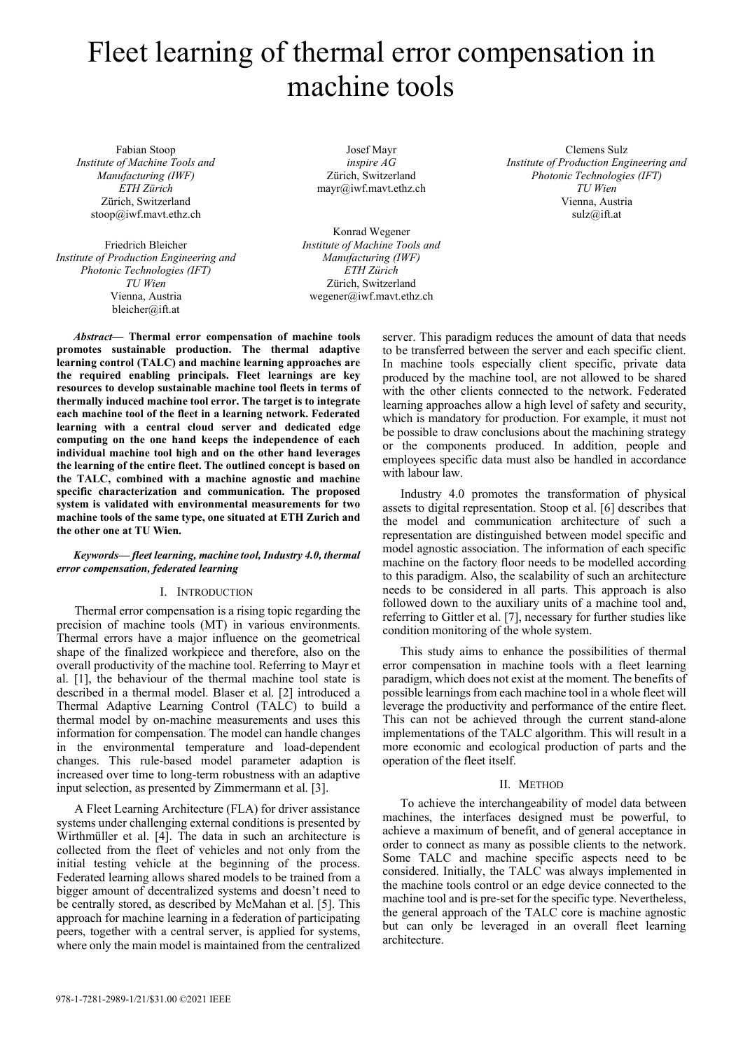# Fleet learning of thermal error compensation in machine tools

Fabian Stoop Institute of Machine Tools and Manufacturing (IWF) ETH Zürich Zürich, Switzerland stoop@iwf.mavt.ethz.ch

Friedrich Bleicher Institute of Production Engineering and Photonic Technologies (IFT) TU Wien Vienna, Austria bleicher@ift.at

Josef Mayr inspire AG Zürich, Switzerland mayr@iwf.mavt.ethz.ch

Konrad Wegener Institute of Machine Tools and Manufacturing (IWF) ETH Zürich Zürich, Switzerland wegener@iwf.mavt.ethz.ch

Abstract— Thermal error compensation of machine tools promotes sustainable production. The thermal adaptive learning control (TALC) and machine learning approaches are the required enabling principals. Fleet learnings are key resources to develop sustainable machine tool fleets in terms of thermally induced machine tool error. The target is to integrate each machine tool of the fleet in a learning network. Federated learning with a central cloud server and dedicated edge computing on the one hand keeps the independence of each individual machine tool high and on the other hand leverages the learning of the entire fleet. The outlined concept is based on the TALC, combined with a machine agnostic and machine specific characterization and communication. The proposed system is validated with environmental measurements for two machine tools of the same type, one situated at ETH Zurich and the other one at TU Wien.

# Keywords— fleet learning, machine tool, Industry 4.0, thermal error compensation, federated learning

# I. INTRODUCTION

Thermal error compensation is a rising topic regarding the precision of machine tools (MT) in various environments. Thermal errors have a major influence on the geometrical shape of the finalized workpiece and therefore, also on the overall productivity of the machine tool. Referring to Mayr et al. [1], the behaviour of the thermal machine tool state is described in a thermal model. Blaser et al. [2] introduced a Thermal Adaptive Learning Control (TALC) to build a thermal model by on-machine measurements and uses this information for compensation. The model can handle changes in the environmental temperature and load-dependent changes. This rule-based model parameter adaption is increased over time to long-term robustness with an adaptive input selection, as presented by Zimmermann et al. [3].

A Fleet Learning Architecture (FLA) for driver assistance systems under challenging external conditions is presented by Wirthmüller et al. [4]. The data in such an architecture is collected from the fleet of vehicles and not only from the initial testing vehicle at the beginning of the process. Federated learning allows shared models to be trained from a bigger amount of decentralized systems and doesn't need to be centrally stored, as described by McMahan et al. [5]. This approach for machine learning in a federation of participating peers, together with a central server, is applied for systems, where only the main model is maintained from the centralized

server. This paradigm reduces the amount of data that needs to be transferred between the server and each specific client. In machine tools especially client specific, private data produced by the machine tool, are not allowed to be shared with the other clients connected to the network. Federated learning approaches allow a high level of safety and security, which is mandatory for production. For example, it must not be possible to draw conclusions about the machining strategy or the components produced. In addition, people and employees specific data must also be handled in accordance with labour law.

Clemens Sulz Institute of Production Engineering and Photonic Technologies (IFT) TU Wien Vienna, Austria sulz@ift.at

Industry 4.0 promotes the transformation of physical assets to digital representation. Stoop et al. [6] describes that the model and communication architecture of such a representation are distinguished between model specific and model agnostic association. The information of each specific machine on the factory floor needs to be modelled according to this paradigm. Also, the scalability of such an architecture needs to be considered in all parts. This approach is also followed down to the auxiliary units of a machine tool and, referring to Gittler et al. [7], necessary for further studies like condition monitoring of the whole system.

This study aims to enhance the possibilities of thermal error compensation in machine tools with a fleet learning paradigm, which does not exist at the moment. The benefits of possible learnings from each machine tool in a whole fleet will leverage the productivity and performance of the entire fleet. This can not be achieved through the current stand-alone implementations of the TALC algorithm. This will result in a more economic and ecological production of parts and the operation of the fleet itself.

## II. METHOD

To achieve the interchangeability of model data between machines, the interfaces designed must be powerful, to achieve a maximum of benefit, and of general acceptance in order to connect as many as possible clients to the network. Some TALC and machine specific aspects need to be considered. Initially, the TALC was always implemented in the machine tools control or an edge device connected to the machine tool and is pre-set for the specific type. Nevertheless, the general approach of the TALC core is machine agnostic but can only be leveraged in an overall fleet learning architecture.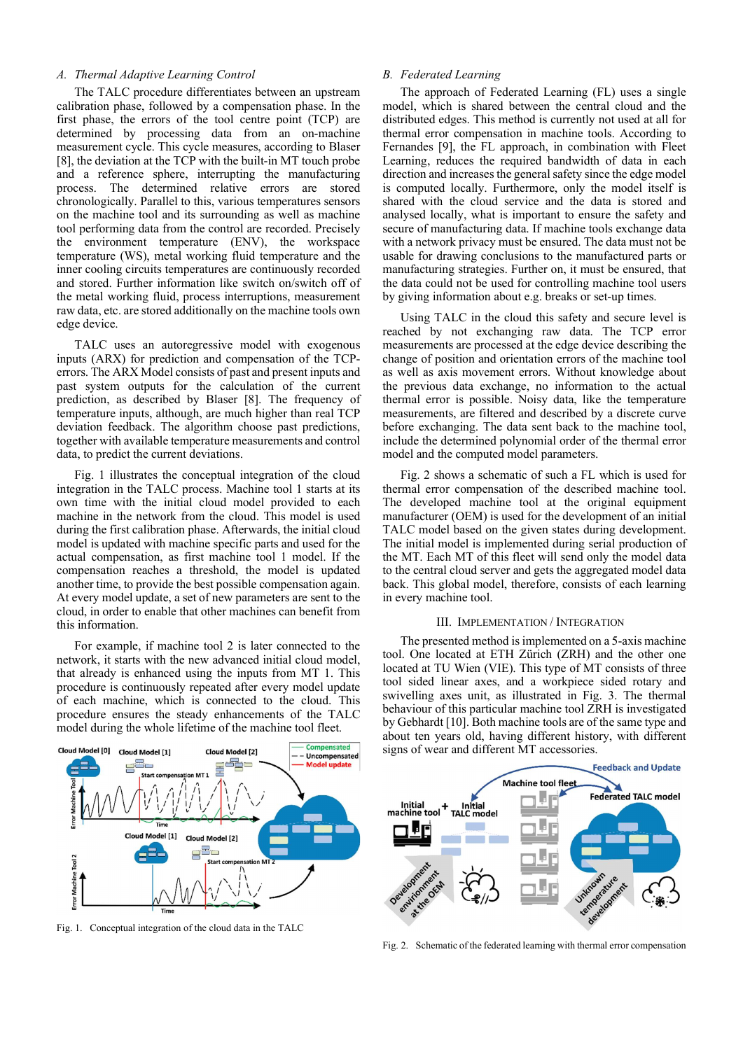# A. Thermal Adaptive Learning Control

The TALC procedure differentiates between an upstream calibration phase, followed by a compensation phase. In the first phase, the errors of the tool centre point (TCP) are determined by processing data from an on-machine measurement cycle. This cycle measures, according to Blaser [8], the deviation at the TCP with the built-in MT touch probe and a reference sphere, interrupting the manufacturing process. The determined relative errors are stored chronologically. Parallel to this, various temperatures sensors on the machine tool and its surrounding as well as machine tool performing data from the control are recorded. Precisely the environment temperature (ENV), the workspace temperature (WS), metal working fluid temperature and the inner cooling circuits temperatures are continuously recorded and stored. Further information like switch on/switch off of the metal working fluid, process interruptions, measurement raw data, etc. are stored additionally on the machine tools own edge device.

TALC uses an autoregressive model with exogenous inputs (ARX) for prediction and compensation of the TCPerrors. The ARX Model consists of past and present inputs and past system outputs for the calculation of the current prediction, as described by Blaser [8]. The frequency of temperature inputs, although, are much higher than real TCP deviation feedback. The algorithm choose past predictions, together with available temperature measurements and control data, to predict the current deviations.

Fig. 1 illustrates the conceptual integration of the cloud integration in the TALC process. Machine tool 1 starts at its own time with the initial cloud model provided to each machine in the network from the cloud. This model is used during the first calibration phase. Afterwards, the initial cloud model is updated with machine specific parts and used for the actual compensation, as first machine tool 1 model. If the compensation reaches a threshold, the model is updated another time, to provide the best possible compensation again. At every model update, a set of new parameters are sent to the cloud, in order to enable that other machines can benefit from this information.

For example, if machine tool 2 is later connected to the network, it starts with the new advanced initial cloud model, that already is enhanced using the inputs from MT 1. This procedure is continuously repeated after every model update of each machine, which is connected to the cloud. This procedure ensures the steady enhancements of the TALC model during the whole lifetime of the machine tool fleet.

#### B. Federated Learning

The approach of Federated Learning (FL) uses a single model, which is shared between the central cloud and the distributed edges. This method is currently not used at all for thermal error compensation in machine tools. According to Fernandes [9], the FL approach, in combination with Fleet Learning, reduces the required bandwidth of data in each direction and increases the general safety since the edge model is computed locally. Furthermore, only the model itself is shared with the cloud service and the data is stored and analysed locally, what is important to ensure the safety and secure of manufacturing data. If machine tools exchange data with a network privacy must be ensured. The data must not be usable for drawing conclusions to the manufactured parts or manufacturing strategies. Further on, it must be ensured, that the data could not be used for controlling machine tool users by giving information about e.g. breaks or set-up times.

Using TALC in the cloud this safety and secure level is reached by not exchanging raw data. The TCP error measurements are processed at the edge device describing the change of position and orientation errors of the machine tool as well as axis movement errors. Without knowledge about the previous data exchange, no information to the actual thermal error is possible. Noisy data, like the temperature measurements, are filtered and described by a discrete curve before exchanging. The data sent back to the machine tool, include the determined polynomial order of the thermal error model and the computed model parameters.

Fig. 2 shows a schematic of such a FL which is used for thermal error compensation of the described machine tool. The developed machine tool at the original equipment manufacturer (OEM) is used for the development of an initial TALC model based on the given states during development. The initial model is implemented during serial production of the MT. Each MT of this fleet will send only the model data to the central cloud server and gets the aggregated model data back. This global model, therefore, consists of each learning in every machine tool.

## III. IMPLEMENTATION / INTEGRATION

The presented method is implemented on a 5-axis machine tool. One located at ETH Zürich (ZRH) and the other one located at TU Wien (VIE). This type of MT consists of three tool sided linear axes, and a workpiece sided rotary and swivelling axes unit, as illustrated in Fig. 3. The thermal behaviour of this particular machine tool ZRH is investigated by Gebhardt [10]. Both machine tools are of the same type and about ten years old, having different history, with different signs of wear and different MT accessories.



Fig. 1. Conceptual integration of the cloud data in the TALC



Fig. 2. Schematic of the federated learning with thermal error compensation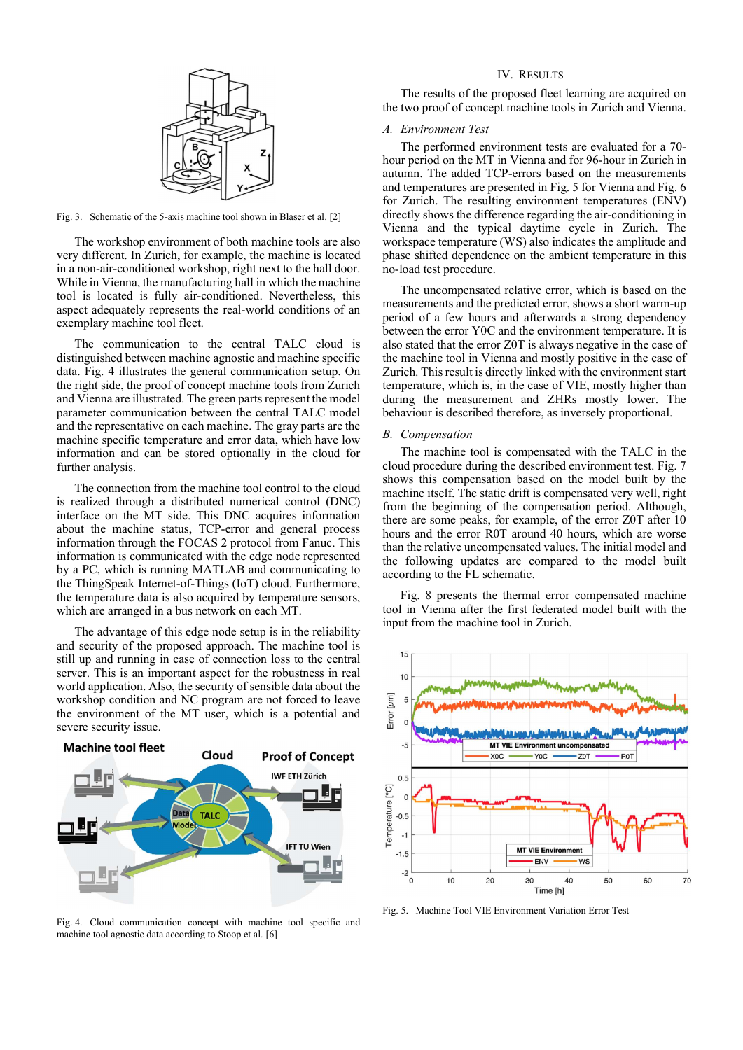

Fig. 3. Schematic of the 5-axis machine tool shown in Blaser et al. [2]

The workshop environment of both machine tools are also very different. In Zurich, for example, the machine is located in a non-air-conditioned workshop, right next to the hall door. While in Vienna, the manufacturing hall in which the machine tool is located is fully air-conditioned. Nevertheless, this aspect adequately represents the real-world conditions of an exemplary machine tool fleet.

The communication to the central TALC cloud is distinguished between machine agnostic and machine specific data. Fig. 4 illustrates the general communication setup. On the right side, the proof of concept machine tools from Zurich and Vienna are illustrated. The green parts represent the model parameter communication between the central TALC model and the representative on each machine. The gray parts are the machine specific temperature and error data, which have low information and can be stored optionally in the cloud for further analysis.

The connection from the machine tool control to the cloud is realized through a distributed numerical control (DNC) interface on the MT side. This DNC acquires information about the machine status, TCP-error and general process information through the FOCAS 2 protocol from Fanuc. This information is communicated with the edge node represented by a PC, which is running MATLAB and communicating to the ThingSpeak Internet-of-Things (IoT) cloud. Furthermore, the temperature data is also acquired by temperature sensors, which are arranged in a bus network on each MT.

The advantage of this edge node setup is in the reliability and security of the proposed approach. The machine tool is still up and running in case of connection loss to the central server. This is an important aspect for the robustness in real world application. Also, the security of sensible data about the workshop condition and NC program are not forced to leave the environment of the MT user, which is a potential and severe security issue.



Fig. 4. Cloud communication concept with machine tool specific and machine tool agnostic data according to Stoop et al. [6]

# IV. RESULTS

The results of the proposed fleet learning are acquired on the two proof of concept machine tools in Zurich and Vienna.

# A. Environment Test

The performed environment tests are evaluated for a 70 hour period on the MT in Vienna and for 96-hour in Zurich in autumn. The added TCP-errors based on the measurements and temperatures are presented in Fig. 5 for Vienna and Fig. 6 for Zurich. The resulting environment temperatures (ENV) directly shows the difference regarding the air-conditioning in Vienna and the typical daytime cycle in Zurich. The workspace temperature (WS) also indicates the amplitude and phase shifted dependence on the ambient temperature in this no-load test procedure.

The uncompensated relative error, which is based on the measurements and the predicted error, shows a short warm-up period of a few hours and afterwards a strong dependency between the error Y0C and the environment temperature. It is also stated that the error Z0T is always negative in the case of the machine tool in Vienna and mostly positive in the case of Zurich. This result is directly linked with the environment start temperature, which is, in the case of VIE, mostly higher than during the measurement and ZHRs mostly lower. The behaviour is described therefore, as inversely proportional.

## B. Compensation

The machine tool is compensated with the TALC in the cloud procedure during the described environment test. Fig. 7 shows this compensation based on the model built by the machine itself. The static drift is compensated very well, right from the beginning of the compensation period. Although, there are some peaks, for example, of the error Z0T after 10 hours and the error R0T around 40 hours, which are worse than the relative uncompensated values. The initial model and the following updates are compared to the model built according to the FL schematic.

Fig. 8 presents the thermal error compensated machine tool in Vienna after the first federated model built with the input from the machine tool in Zurich.



Fig. 5. Machine Tool VIE Environment Variation Error Test